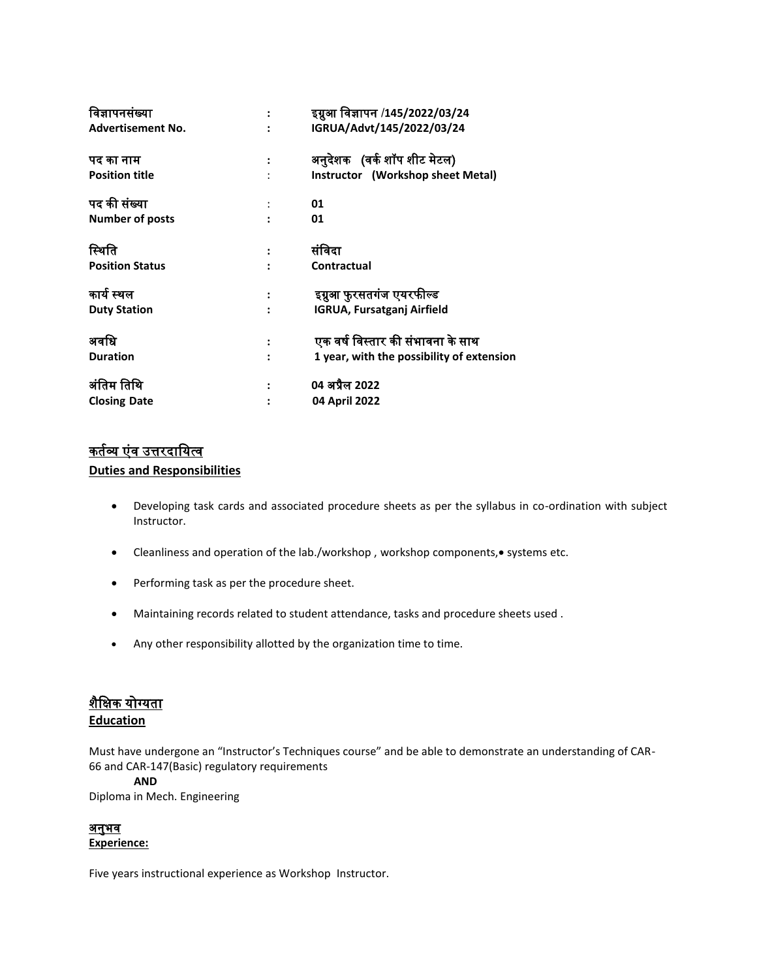| विज्ञापनसंख्या           | इग्नुआ विज्ञापन /145/2022/03/24           |
|--------------------------|-------------------------------------------|
| <b>Advertisement No.</b> | IGRUA/Advt/145/2022/03/24                 |
| पद का नाम                | अनुदेशक (वर्क शॉप शीट मेटल)               |
| <b>Position title</b>    | Instructor (Workshop sheet Metal)         |
| पद की संख्या             | 01                                        |
| <b>Number of posts</b>   | 01                                        |
| स्थिति                   | संविदा                                    |
| <b>Position Status</b>   | Contractual                               |
| कार्य स्थल               | इग्नुआ फुरसतगंज एयरफील्ड                  |
| <b>Duty Station</b>      | <b>IGRUA, Fursatganj Airfield</b>         |
| अवधि                     | एक वर्ष विस्तार की संभावना के साथ         |
| <b>Duration</b>          | 1 year, with the possibility of extension |
| अंतिम तिथि               | 04 अप्रैल 2022                            |
| <b>Closing Date</b>      | 04 April 2022                             |
|                          |                                           |

# <u>कर्तव्य एंव उत्तरदायित्व</u>

#### **Duties and Responsibilities**

- Developing task cards and associated procedure sheets as per the syllabus in co-ordination with subject Instructor.
- Cleanliness and operation of the lab./workshop, workshop components, systems etc.
- Performing task as per the procedure sheet.
- Maintaining records related to student attendance, tasks and procedure sheets used .
- Any other responsibility allotted by the organization time to time.

# शैविक योग्यिा

#### **Education**

Must have undergone an "Instructor's Techniques course" and be able to demonstrate an understanding of CAR-66 and CAR-147(Basic) regulatory requirements

#### **AND**

Diploma in Mech. Engineering

### <u>अनुभव</u>

#### **Experience:**

Five years instructional experience as Workshop Instructor.